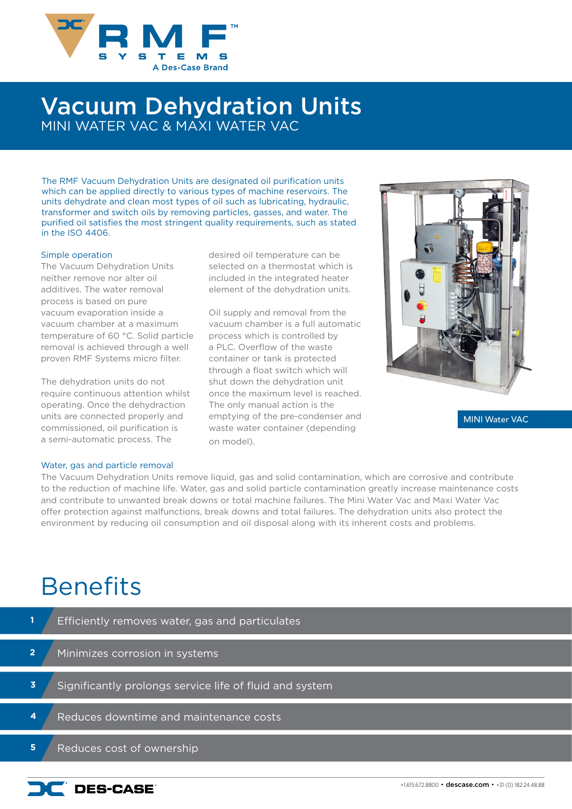

## Vacuum Dehydration Units MINI WATER VAC & MAXI WATER VAC

The RMF Vacuum Dehydration Units are designated oil purification units which can be applied directly to various types of machine reservoirs. The units dehydrate and clean most types of oil such as lubricating, hydraulic, transformer and switch oils by removing particles, gasses, and water. The purified oil satisfies the most stringent quality requirements, such as stated in the ISO 4406.

### Simple operation

The Vacuum Dehydration Units neither remove nor alter oil additives. The water removal process is based on pure vacuum evaporation inside a vacuum chamber at a maximum temperature of 60 °C. Solid particle removal is achieved through a well proven RMF Systems micro filter.

The dehydration units do not require continuous attention whilst operating. Once the dehydraction units are connected properly and commissioned, oil purification is a semi-automatic process. The

### desired oil temperature can be selected on a thermostat which is included in the integrated heater element of the dehydration units.

Oil supply and removal from the vacuum chamber is a full automatic process which is controlled by a PLC. Overflow of the waste container or tank is protected through a float switch which will shut down the dehydration unit once the maximum level is reached. The only manual action is the emptying of the pre-condenser and waste water container (depending on model).



MINI Water VAC

#### Water, gas and particle removal

The Vacuum Dehydration Units remove liquid, gas and solid contamination, which are corrosive and contribute to the reduction of machine life. Water, gas and solid particle contamination greatly increase maintenance costs and contribute to unwanted break downs or total machine failures. The Mini Water Vac and Maxi Water Vac offer protection against malfunctions, break downs and total failures. The dehydration units also protect the environment by reducing oil consumption and oil disposal along with its inherent costs and problems.

# **Benefits**

|                | Efficiently removes water, gas and particulates         |  |
|----------------|---------------------------------------------------------|--|
| $\overline{2}$ | Minimizes corrosion in systems                          |  |
| 3.             | Significantly prolongs service life of fluid and system |  |
| 4              | Reduces downtime and maintenance costs                  |  |
| 5              | Reduces cost of ownership                               |  |

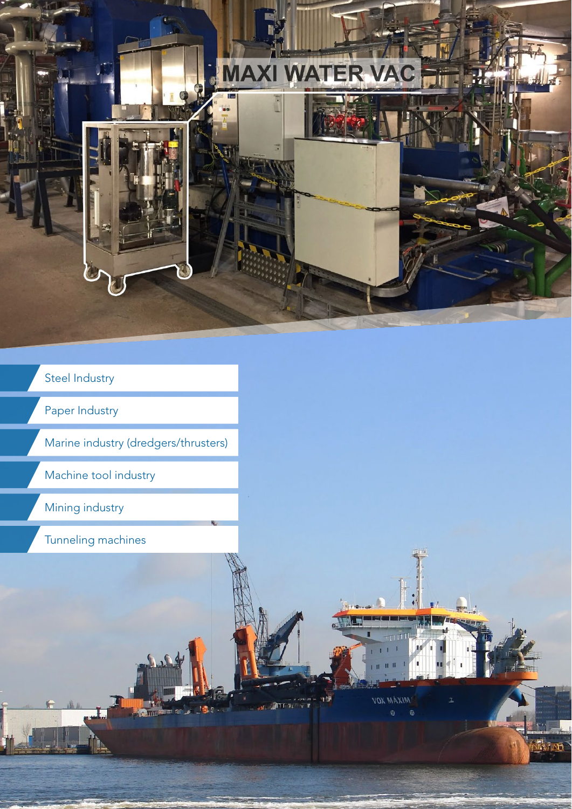

**VOX MAXIM'** 

 $\ddot{\mathbf{e}}$  $\ddot{\bullet}$ 

### Steel Industry

Paper Industry

Marine industry (dredgers/thrusters)

**Bandara Cardinal** 

Machine tool industry

Mining industry

Tunneling machines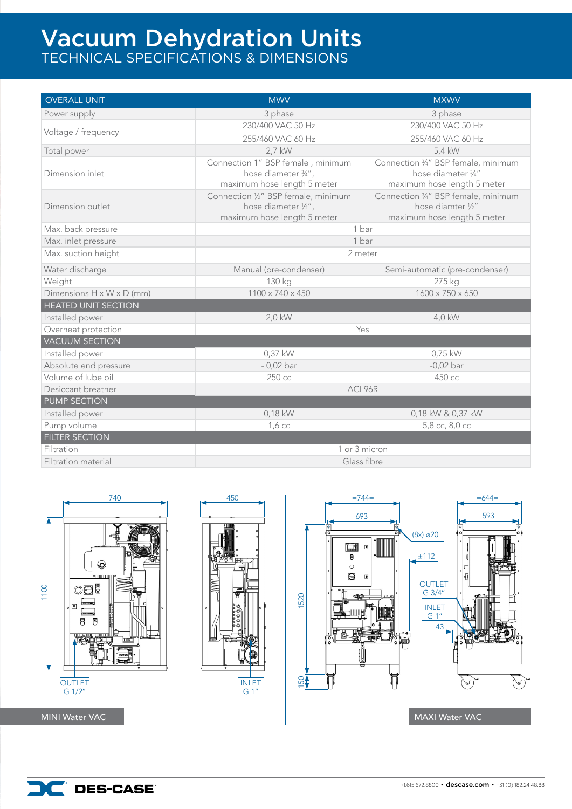## Vacuum Dehydration Units TECHNICAL SPECIFICATIONS & DIMENSIONS

| <b>OVERALL UNIT</b>                   | <b>MWV</b>                          | <b>MXWV</b>                        |  |  |  |  |
|---------------------------------------|-------------------------------------|------------------------------------|--|--|--|--|
| Power supply                          | 3 phase                             | 3 phase                            |  |  |  |  |
|                                       | 230/400 VAC 50 Hz                   | 230/400 VAC 50 Hz                  |  |  |  |  |
| Voltage / frequency                   | 255/460 VAC 60 Hz                   | 255/460 VAC 60 Hz                  |  |  |  |  |
| Total power                           | 2,7 kW                              | 5,4 kW                             |  |  |  |  |
|                                       | Connection 1" BSP female, minimum   | Connection 34" BSP female, minimum |  |  |  |  |
| Dimension inlet                       | hose diameter 3/4",                 | hose diameter 3/4"                 |  |  |  |  |
|                                       | maximum hose length 5 meter         | maximum hose length 5 meter        |  |  |  |  |
|                                       | Connection 1/2" BSP female, minimum | Connection 34" BSP female, minimum |  |  |  |  |
| Dimension outlet                      | hose diameter 1/2",                 | hose diamter 1/2"                  |  |  |  |  |
|                                       | maximum hose length 5 meter         | maximum hose length 5 meter        |  |  |  |  |
| Max. back pressure                    | 1 bar                               |                                    |  |  |  |  |
| Max. inlet pressure                   | 1 bar                               |                                    |  |  |  |  |
| Max. suction height                   | 2 meter                             |                                    |  |  |  |  |
| Water discharge                       | Manual (pre-condenser)              | Semi-automatic (pre-condenser)     |  |  |  |  |
| Weight                                | 130 kg                              | 275 kg                             |  |  |  |  |
| Dimensions $H \times W \times D$ (mm) | 1100 x 740 x 450                    | 1600 x 750 x 650                   |  |  |  |  |
| <b>HEATED UNIT SECTION</b>            |                                     |                                    |  |  |  |  |
| Installed power                       | 2,0 kW                              | 4,0 kW                             |  |  |  |  |
| Overheat protection                   | Yes                                 |                                    |  |  |  |  |
| <b>VACUUM SECTION</b>                 |                                     |                                    |  |  |  |  |
| Installed power                       | $0,37$ kW                           | 0,75 kW                            |  |  |  |  |
| Absolute end pressure                 | $-0,02$ bar                         | $-0,02$ bar                        |  |  |  |  |
| Volume of lube oil                    | 250 сс                              | 450 сс                             |  |  |  |  |
| Desiccant breather                    | ACL96R                              |                                    |  |  |  |  |
| <b>PUMP SECTION</b>                   |                                     |                                    |  |  |  |  |
| Installed power                       | 0,18 kW                             | 0,18 kW & 0,37 kW                  |  |  |  |  |
| Pump volume                           | $1,6$ cc                            | 5,8 сс, 8,0 сс                     |  |  |  |  |
| <b>FILTER SECTION</b>                 |                                     |                                    |  |  |  |  |
| Filtration                            | 1 or 3 micron                       |                                    |  |  |  |  |
| Filtration material                   | Glass fibre                         |                                    |  |  |  |  |